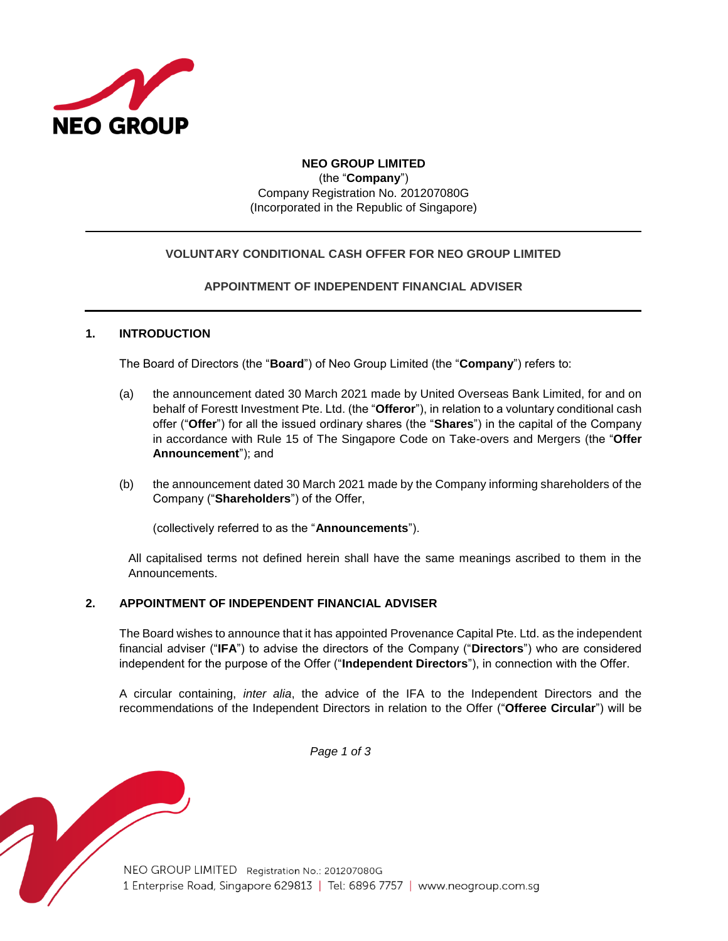

# **NEO GROUP LIMITED** (the "**Company**") Company Registration No. 201207080G (Incorporated in the Republic of Singapore)

## **VOLUNTARY CONDITIONAL CASH OFFER FOR NEO GROUP LIMITED**

## **APPOINTMENT OF INDEPENDENT FINANCIAL ADVISER**

### **1. INTRODUCTION**

The Board of Directors (the "**Board**") of Neo Group Limited (the "**Company**") refers to:

- (a) the announcement dated 30 March 2021 made by United Overseas Bank Limited, for and on behalf of Forestt Investment Pte. Ltd. (the "**Offeror**"), in relation to a voluntary conditional cash offer ("**Offer**") for all the issued ordinary shares (the "**Shares**") in the capital of the Company in accordance with Rule 15 of The Singapore Code on Take-overs and Mergers (the "**Offer Announcement**"); and
- (b) the announcement dated 30 March 2021 made by the Company informing shareholders of the Company ("**Shareholders**") of the Offer,

(collectively referred to as the "**Announcements**").

All capitalised terms not defined herein shall have the same meanings ascribed to them in the Announcements.

#### **2. APPOINTMENT OF INDEPENDENT FINANCIAL ADVISER**

The Board wishes to announce that it has appointed Provenance Capital Pte. Ltd. as the independent financial adviser ("**IFA**") to advise the directors of the Company ("**Directors**") who are considered independent for the purpose of the Offer ("**Independent Directors**"), in connection with the Offer.

A circular containing, *inter alia*, the advice of the IFA to the Independent Directors and the recommendations of the Independent Directors in relation to the Offer ("**Offeree Circular**") will be

*Page 1 of 3*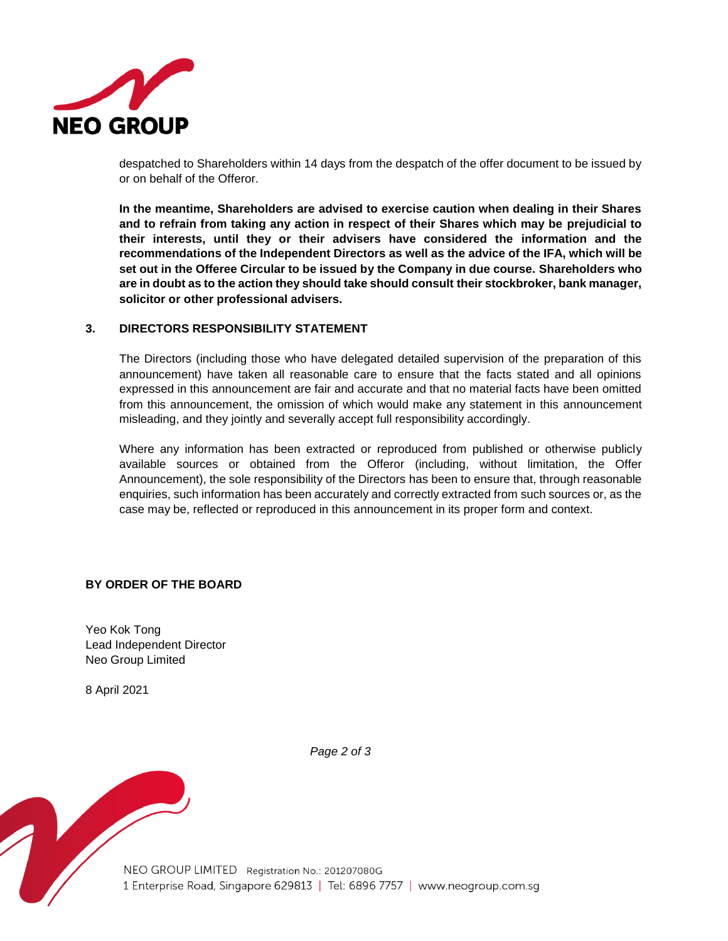

despatched to Shareholders within 14 days from the despatch of the offer document to be issued by or on behalf of the Offeror.

**In the meantime, Shareholders are advised to exercise caution when dealing in their Shares and to refrain from taking any action in respect of their Shares which may be prejudicial to their interests, until they or their advisers have considered the information and the recommendations of the Independent Directors as well as the advice of the IFA, which will be set out in the Offeree Circular to be issued by the Company in due course. Shareholders who are in doubt as to the action they should take should consult their stockbroker, bank manager, solicitor or other professional advisers.**

### **3. DIRECTORS RESPONSIBILITY STATEMENT**

The Directors (including those who have delegated detailed supervision of the preparation of this announcement) have taken all reasonable care to ensure that the facts stated and all opinions expressed in this announcement are fair and accurate and that no material facts have been omitted from this announcement, the omission of which would make any statement in this announcement misleading, and they jointly and severally accept full responsibility accordingly.

Where any information has been extracted or reproduced from published or otherwise publicly available sources or obtained from the Offeror (including, without limitation, the Offer Announcement), the sole responsibility of the Directors has been to ensure that, through reasonable enquiries, such information has been accurately and correctly extracted from such sources or, as the case may be, reflected or reproduced in this announcement in its proper form and context.

## **BY ORDER OF THE BOARD**

Yeo Kok Tong Lead Independent Director Neo Group Limited

8 April 2021

*Page 2 of 3*